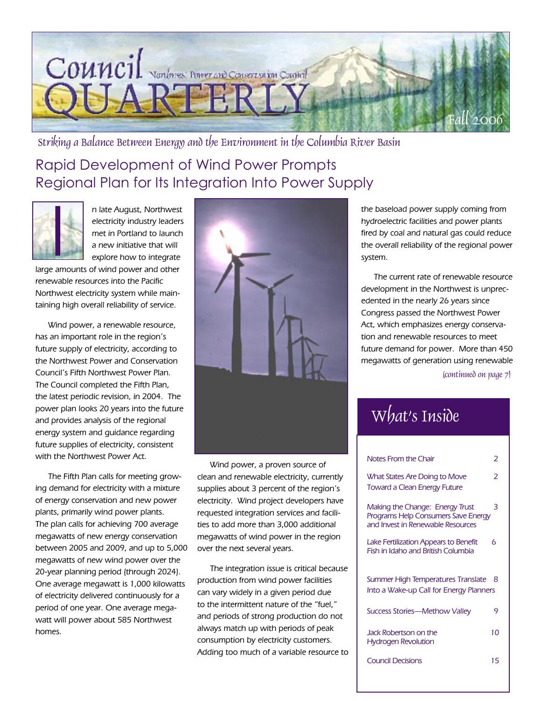

Striking a Balance Between Energy and the Environment in the Columbia River Basin

## Rapid Development of Wind Power Prompts Regional Plan for Its Integration Into Power Supply



n late August, Northwest electricity industry leaders met in Portland to launch a new initiative that will explore how to integrate

large amounts of wind power and other renewable resources into the Pacific Northwest electricity system while maintaining high overall reliability of service.

Wind power, a renewable resource, has an important role in the region's future supply of electricity, according to the Northwest Power and Conservation Council's Fifth Northwest Power Plan. The Council completed the Fifth Plan, the latest periodic revision, in 2004. The power plan looks 20 years into the future and provides analysis of the regional energy system and guidance regarding future supplies of electricity, consistent with the Northwest Power Act.

The Fifth Plan calls for meeting growing demand for electricity with a mixture of energy conservation and new power plants, primarily wind power plants. The plan calls for achieving 700 average megawatts of new energy conservation between 2005 and 2009, and up to 5,000 megawatts of new wind power over the 20-year planning period (through 2024). One average megawatt is 1,000 kilowatts of electricity delivered continuously for a period of one year. One average megawatt will power about 585 Northwest homes.



Wind power, a proven source of clean and renewable electricity, currently supplies about 3 percent of the region's electricity. Wind project developers have requested integration services and facilities to add more than 3,000 additional megawatts of wind power in the region over the next several years.

The integration issue is critical because production from wind power facilities can vary widely in a given period due to the intermittent nature of the "fuel," and periods of strong production do not always match up with periods of peak consumption by electricity customers. Adding too much of a variable resource to

the baseload power supply coming from hydroelectric facilities and power plants fired by coal and natural gas could reduce the overall reliability of the regional power system.

The current rate of renewable resource development in the Northwest is unprecedented in the nearly 26 years since Congress passed the Northwest Power Act, which emphasizes energy conservation and renewable resources to meet future demand for power. More than 450 megawatts of generation using renewable

(continued on page 7)

## What's Inside

| Notes From the Chair                                                                                               | 2  |
|--------------------------------------------------------------------------------------------------------------------|----|
| What States Are Doing to Move<br><b>Toward a Clean Energy Future</b>                                               | フ  |
| Making the Change: Energy Trust<br><b>Programs Help Consumers Save Energy</b><br>and Invest in Renewable Resources | 3  |
| Lake Fertilization Appears to Benefit<br><b>Fish in Idaho and British Columbia</b>                                 | 6  |
| Summer High Temperatures Translate<br>Into a Wake-up Call for Energy Planners                                      | -8 |
| <b>Success Stories—Methow Valley</b>                                                                               | 9  |
| Jack Robertson on the<br><b>Hydrogen Revolution</b>                                                                | 10 |
| <b>Council Decisions</b>                                                                                           | 15 |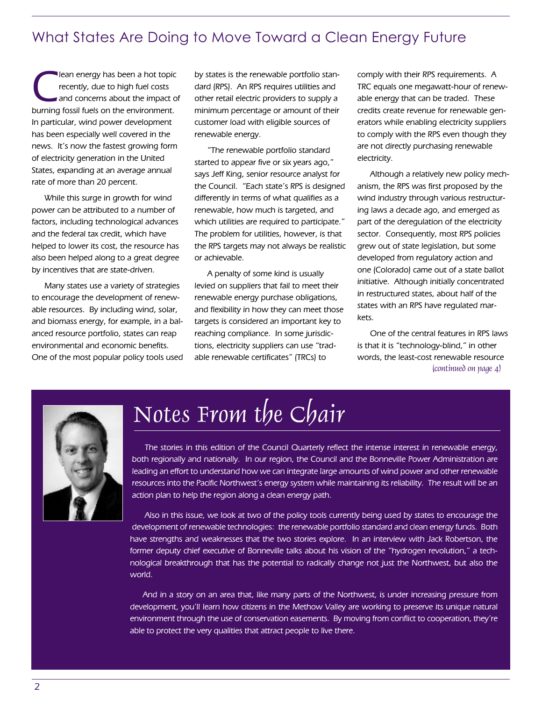## What States Are Doing to Move Toward a Clean Energy Future

The lean energy has been a hot topic<br>recently, due to high fuel costs<br>and concerns about the impact of<br>burning facel fuels on the control ment recently, due to high fuel costs and concerns about the impact of burning fossil fuels on the environment. In particular, wind power development has been especially well covered in the news. It's now the fastest growing form of electricity generation in the United States, expanding at an average annual rate of more than 20 percent.

While this surge in growth for wind power can be attributed to a number of factors, including technological advances and the federal tax credit, which have helped to lower its cost, the resource has also been helped along to a great degree by incentives that are state-driven.

Many states use a variety of strategies to encourage the development of renewable resources. By including wind, solar, and biomass energy, for example, in a balanced resource portfolio, states can reap environmental and economic benefits. One of the most popular policy tools used by states is the renewable portfolio standard (RPS). An RPS requires utilities and other retail electric providers to supply a minimum percentage or amount of their customer load with eligible sources of renewable energy.

"The renewable portfolio standard started to appear five or six years ago," says Jeff King, senior resource analyst for the Council. "Each state's RPS is designed differently in terms of what qualifies as a renewable, how much is targeted, and which utilities are required to participate." The problem for utilities, however, is that the RPS targets may not always be realistic or achievable.

A penalty of some kind is usually levied on suppliers that fail to meet their renewable energy purchase obligations, and flexibility in how they can meet those targets is considered an important key to reaching compliance. In some jurisdictions, electricity suppliers can use "tradable renewable certificates" (TRCs) to

comply with their RPS requirements. A TRC equals one megawatt-hour of renewable energy that can be traded. These credits create revenue for renewable generators while enabling electricity suppliers to comply with the RPS even though they are not directly purchasing renewable electricity.

Although a relatively new policy mechanism, the RPS was first proposed by the wind industry through various restructuring laws a decade ago, and emerged as part of the deregulation of the electricity sector. Consequently, most RPS policies grew out of state legislation, but some developed from regulatory action and one (Colorado) came out of a state ballot initiative. Although initially concentrated in restructured states, about half of the states with an RPS have regulated markets.

One of the central features in RPS laws is that it is "technology-blind," in other words, the least-cost renewable resource (continued on page 4)



# Notes From the Chair

The stories in this edition of the Council Quarterly reflect the intense interest in renewable energy, both regionally and nationally. In our region, the Council and the Bonneville Power Administration are leading an effort to understand how we can integrate large amounts of wind power and other renewable resources into the Pacific Northwest's energy system while maintaining its reliability. The result will be an action plan to help the region along a clean energy path.

Also in this issue, we look at two of the policy tools currently being used by states to encourage the development of renewable technologies: the renewable portfolio standard and clean energy funds. Both have strengths and weaknesses that the two stories explore. In an interview with Jack Robertson, the former deputy chief executive of Bonneville talks about his vision of the "hydrogen revolution," a technological breakthrough that has the potential to radically change not just the Northwest, but also the world.

And in a story on an area that, like many parts of the Northwest, is under increasing pressure from development, you'll learn how citizens in the Methow Valley are working to preserve its unique natural environment through the use of conservation easements. By moving from conflict to cooperation, they're able to protect the very qualities that attract people to live there.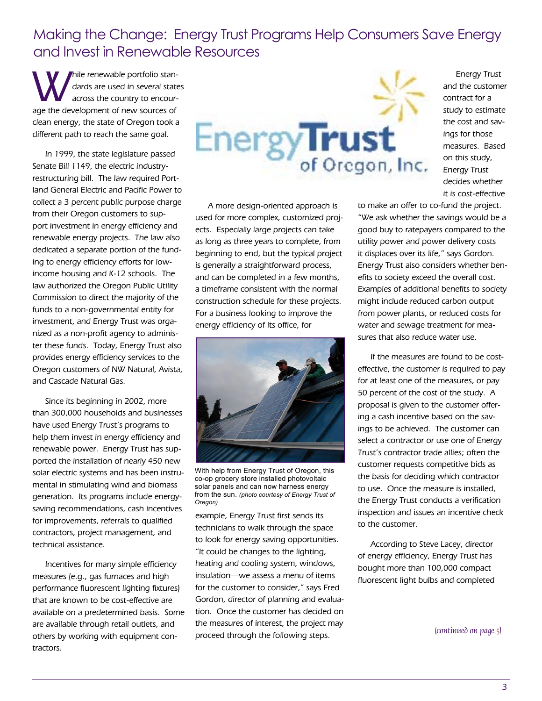Making the Change: Energy Trust Programs Help Consumers Save Energy and Invest in Renewable Resources

Mile renewable portfolio stan-<br>dards are used in several state<br>across the country to encourdards are used in several states across the country to encourage the development of new sources of clean energy, the state of Oregon took a different path to reach the same goal.

In 1999, the state legislature passed Senate Bill 1149, the electric industryrestructuring bill. The law required Portland General Electric and Pacific Power to collect a 3 percent public purpose charge from their Oregon customers to support investment in energy efficiency and renewable energy projects. The law also dedicated a separate portion of the funding to energy efficiency efforts for lowincome housing and K-12 schools. The law authorized the Oregon Public Utility Commission to direct the majority of the funds to a non-governmental entity for investment, and Energy Trust was organized as a non-profit agency to administer these funds. Today, Energy Trust also provides energy efficiency services to the Oregon customers of NW Natural, Avista, and Cascade Natural Gas.

Since its beginning in 2002, more than 300,000 households and businesses have used Energy Trust's programs to help them invest in energy efficiency and renewable power. Energy Trust has supported the installation of nearly 450 new solar electric systems and has been instrumental in stimulating wind and biomass generation. Its programs include energysaving recommendations, cash incentives for improvements, referrals to qualified contractors, project management, and technical assistance.

Incentives for many simple efficiency measures (e.g., gas furnaces and high performance fluorescent lighting fixtures) that are known to be cost-effective are available on a predetermined basis. Some are available through retail outlets, and others by working with equipment contractors.



A more design-oriented approach is used for more complex, customized projects. Especially large projects can take as long as three years to complete, from beginning to end, but the typical project is generally a straightforward process, and can be completed in a few months, a timeframe consistent with the normal construction schedule for these projects. For a business looking to improve the energy efficiency of its office, for



With help from Energy Trust of Oregon, this co-op grocery store installed photovoltaic solar panels and can now harness energy from the sun. *(photo courtesy of Energy Trust of Oregon)*

example, Energy Trust first sends its technicians to walk through the space to look for energy saving opportunities. "It could be changes to the lighting, heating and cooling system, windows, insulation—we assess a menu of items for the customer to consider," says Fred Gordon, director of planning and evaluation. Once the customer has decided on the measures of interest, the project may proceed through the following steps.

it is cost-effective to make an offer to co-fund the project. "We ask whether the savings would be a good buy to ratepayers compared to the utility power and power delivery costs it displaces over its life," says Gordon. Energy Trust also considers whether benefits to society exceed the overall cost. Examples of additional benefits to society might include reduced carbon output from power plants, or reduced costs for water and sewage treatment for measures that also reduce water use.

Energy Trust

If the measures are found to be costeffective, the customer is required to pay for at least one of the measures, or pay 50 percent of the cost of the study. A proposal is given to the customer offering a cash incentive based on the savings to be achieved. The customer can select a contractor or use one of Energy Trust's contractor trade allies; often the customer requests competitive bids as the basis for deciding which contractor to use. Once the measure is installed, the Energy Trust conducts a verification inspection and issues an incentive check to the customer.

According to Steve Lacey, director of energy efficiency, Energy Trust has bought more than 100,000 compact fluorescent light bulbs and completed

(continued on page 5)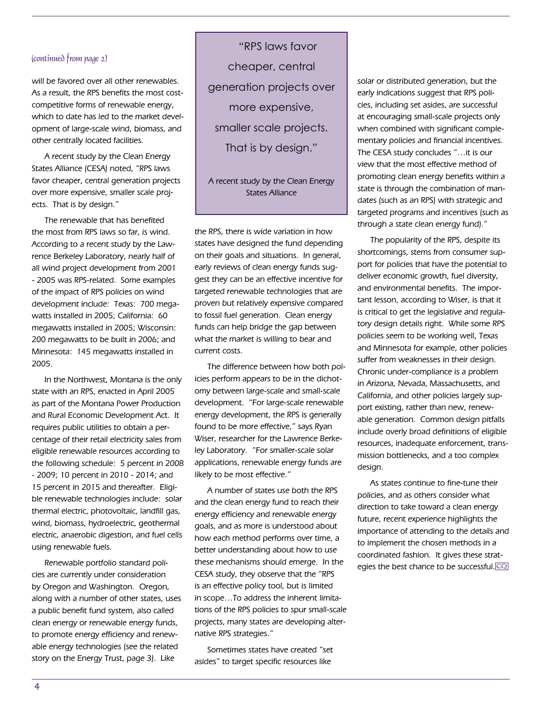#### (continued from page 2)

will be favored over all other renewables. As a result, the RPS benefits the most costcompetitive forms of renewable energy, which to date has led to the market development of large-scale wind, biomass, and other centrally located facilities.

A recent study by the Clean Energy States Alliance (CESA) noted, "RPS laws favor cheaper, central generation projects over more expensive, smaller scale projects. That is by design."

The renewable that has benefited the most from RPS laws so far, is wind. According to a recent study by the Lawrence Berkeley Laboratory, nearly half of all wind project development from 2001 - 2005 was RPS-related. Some examples of the impact of RPS policies on wind development include: Texas: 700 megawatts installed in 2005; California: 60 megawatts installed in 2005; Wisconsin: 200 megawatts to be built in 2006; and Minnesota: 145 megawatts installed in 2005.

In the Northwest, Montana is the only state with an RPS, enacted in April 2005 as part of the Montana Power Production and Rural Economic Development Act. It requires public utilities to obtain a percentage of their retail electricity sales from eligible renewable resources according to the following schedule: 5 percent in 2008 - 2009; 10 percent in 2010 - 2014; and 15 percent in 2015 and thereafter. Eligible renewable technologies include: solar thermal electric, photovoltaic, landfill gas, wind, biomass, hydroelectric, geothermal electric, anaerobic digestion, and fuel cells using renewable fuels.

Renewable portfolio standard policies are currently under consideration by Oregon and Washington. Oregon, along with a number of other states, uses a public benefit fund system, also called clean energy or renewable energy funds, to promote energy efficiency and renewable energy technologies (see the related story on the Energy Trust, page 3). Like

"RPS laws favor cheaper, central generation projects over more expensive, smaller scale projects. That is by design."

#### A recent study by the Clean Energy States Alliance

the RPS, there is wide variation in how states have designed the fund depending on their goals and situations. In general, early reviews of clean energy funds suggest they can be an effective incentive for targeted renewable technologies that are proven but relatively expensive compared to fossil fuel generation. Clean energy funds can help bridge the gap between what the market is willing to bear and current costs.

The difference between how both policies perform appears to be in the dichotomy between large-scale and small-scale development. "For large-scale renewable energy development, the RPS is generally found to be more effective," says Ryan Wiser, researcher for the Lawrence Berkeley Laboratory. "For smaller-scale solar applications, renewable energy funds are likely to be most effective."

A number of states use both the RPS and the clean energy fund to reach their energy efficiency and renewable energy goals, and as more is understood about how each method performs over time, a better understanding about how to use these mechanisms should emerge. In the CESA study, they observe that the "RPS is an effective policy tool, but is limited in scope…To address the inherent limitations of the RPS policies to spur small-scale projects, many states are developing alternative RPS strategies."

Sometimes states have created "set asides" to target specific resources like

solar or distributed generation, but the early indications suggest that RPS policies, including set asides, are successful at encouraging small-scale projects only when combined with significant complementary policies and financial incentives. The CESA study concludes "…it is our view that the most effective method of promoting clean energy benefits within a state is through the combination of mandates (such as an RPS) with strategic and targeted programs and incentives (such as through a state clean energy fund)."

The popularity of the RPS, despite its shortcomings, stems from consumer support for policies that have the potential to deliver economic growth, fuel diversity, and environmental benefits. The important lesson, according to Wiser, is that it is critical to get the legislative and regulatory design details right. While some RPS policies seem to be working well, Texas and Minnesota for example, other policies suffer from weaknesses in their design. Chronic under-compliance is a problem in Arizona, Nevada, Massachusetts, and California, and other policies largely support existing, rather than new, renewable generation. Common design pitfalls include overly broad definitions of eligible resources, inadequate enforcement, transmission bottlenecks, and a too complex design.

As states continue to fine-tune their policies, and as others consider what direction to take toward a clean energy future, recent experience highlights the importance of attending to the details and to implement the chosen methods in a coordinated fashion. It gives these strategies the best chance to be successful.<sup>1</sup>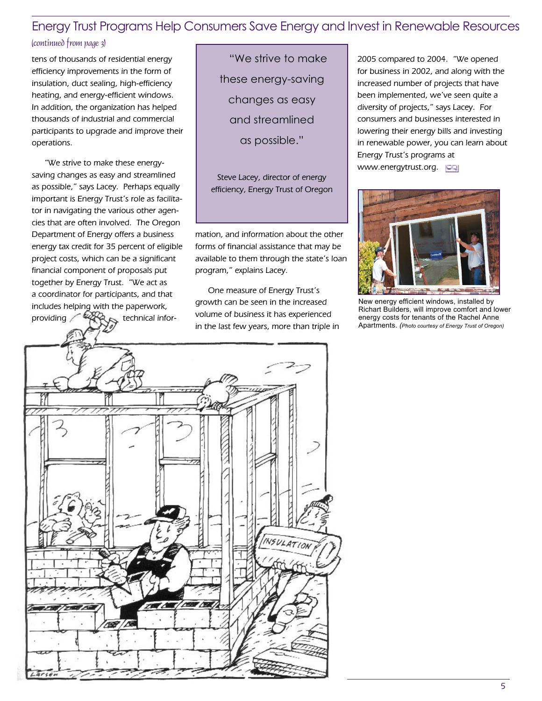### Energy Trust Programs Help Consumers Save Energy and Invest in Renewable Resources

#### (continued from page 3)

tens of thousands of residential energy efficiency improvements in the form of insulation, duct sealing, high-efficiency heating, and energy-efficient windows. In addition, the organization has helped thousands of industrial and commercial participants to upgrade and improve their operations.

"We strive to make these energysaving changes as easy and streamlined as possible," says Lacey. Perhaps equally important is Energy Trust's role as facilitator in navigating the various other agencies that are often involved. The Oregon Department of Energy offers a business energy tax credit for 35 percent of eligible project costs, which can be a significant financial component of proposals put together by Energy Trust. "We act as a coordinator for participants, and that includes helping with the paperwork, providing  $\leftarrow$   $\leftarrow$  technical infor-

"We strive to make these energy-saving changes as easy and streamlined as possible."

Steve Lacey, director of energy efficiency, Energy Trust of Oregon

mation, and information about the other forms of financial assistance that may be available to them through the state's loan program," explains Lacey.

One measure of Energy Trust's growth can be seen in the increased volume of business it has experienced in the last few years, more than triple in 2005 compared to 2004. "We opened for business in 2002, and along with the increased number of projects that have been implemented, we've seen quite a diversity of projects," says Lacey. For consumers and businesses interested in lowering their energy bills and investing in renewable power, you can learn about Energy Trust's programs at www.energytrust.org.



New energy efficient windows, installed by Richart Builders, will improve comfort and lower energy costs for tenants of the Rachel Anne Apartments. *(Photo courtesy of Energy Trust of Oregon)*

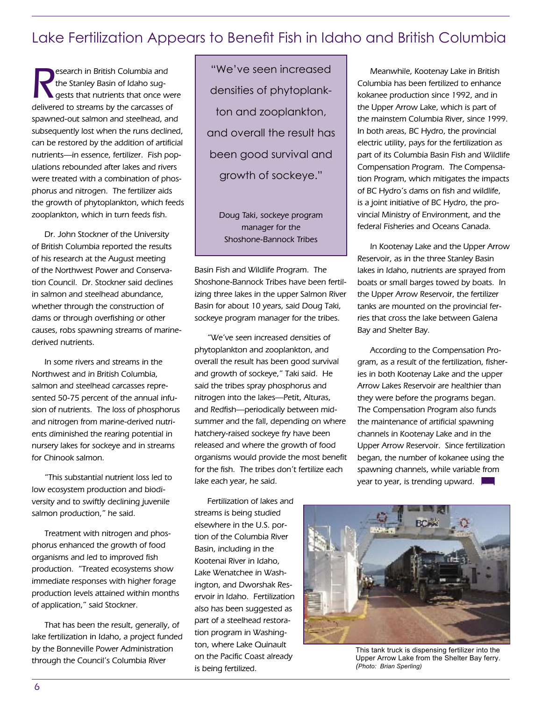## Lake Fertilization Appears to Benefit Fish in Idaho and British Columbia

R esearch in British Columbia and the Stanley Basin of Idaho suggests that nutrients that once were delivered to streams by the carcasses of spawned-out salmon and steelhead, and subsequently lost when the runs declined, can be restored by the addition of artificial nutrients—in essence, fertilizer. Fish populations rebounded after lakes and rivers were treated with a combination of phosphorus and nitrogen. The fertilizer aids the growth of phytoplankton, which feeds zooplankton, which in turn feeds fish.

Dr. John Stockner of the University of British Columbia reported the results of his research at the August meeting of the Northwest Power and Conservation Council. Dr. Stockner said declines in salmon and steelhead abundance, whether through the construction of dams or through overfishing or other causes, robs spawning streams of marinederived nutrients.

In some rivers and streams in the Northwest and in British Columbia, salmon and steelhead carcasses represented 50-75 percent of the annual infusion of nutrients. The loss of phosphorus and nitrogen from marine-derived nutrients diminished the rearing potential in nursery lakes for sockeye and in streams for Chinook salmon.

"This substantial nutrient loss led to low ecosystem production and biodiversity and to swiftly declining juvenile salmon production," he said.

Treatment with nitrogen and phosphorus enhanced the growth of food organisms and led to improved fish production. "Treated ecosystems show immediate responses with higher forage production levels attained within months of application," said Stockner.

That has been the result, generally, of lake fertilization in Idaho, a project funded by the Bonneville Power Administration through the Council's Columbia River

"We've seen increased densities of phytoplankton and zooplankton, and overall the result has been good survival and growth of sockeye."

Doug Taki, sockeye program manager for the Shoshone-Bannock Tribes

Basin Fish and Wildlife Program. The Shoshone-Bannock Tribes have been fertilizing three lakes in the upper Salmon River Basin for about 10 years, said Doug Taki, sockeye program manager for the tribes.

"We've seen increased densities of phytoplankton and zooplankton, and overall the result has been good survival and growth of sockeye," Taki said. He said the tribes spray phosphorus and nitrogen into the lakes—Petit, Alturas, and Redfish—periodically between midsummer and the fall, depending on where hatchery-raised sockeye fry have been released and where the growth of food organisms would provide the most benefit for the fish. The tribes don't fertilize each lake each year, he said.

Fertilization of lakes and streams is being studied elsewhere in the U.S. portion of the Columbia River Basin, including in the Kootenai River in Idaho, Lake Wenatchee in Washington, and Dworshak Reservoir in Idaho. Fertilization also has been suggested as part of a steelhead restoration program in Washington, where Lake Quinault on the Pacific Coast already is being fertilized.

Meanwhile, Kootenay Lake in British Columbia has been fertilized to enhance kokanee production since 1992, and in the Upper Arrow Lake, which is part of the mainstem Columbia River, since 1999. In both areas, BC Hydro, the provincial electric utility, pays for the fertilization as part of its Columbia Basin Fish and Wildlife Compensation Program. The Compensation Program, which mitigates the impacts of BC Hydro's dams on fish and wildlife, is a joint initiative of BC Hydro, the provincial Ministry of Environment, and the federal Fisheries and Oceans Canada.

In Kootenay Lake and the Upper Arrow Reservoir, as in the three Stanley Basin lakes in Idaho, nutrients are sprayed from boats or small barges towed by boats. In the Upper Arrow Reservoir, the fertilizer tanks are mounted on the provincial ferries that cross the lake between Galena Bay and Shelter Bay.

According to the Compensation Program, as a result of the fertilization, fisheries in both Kootenay Lake and the upper Arrow Lakes Reservoir are healthier than they were before the programs began. The Compensation Program also funds the maintenance of artificial spawning channels in Kootenay Lake and in the Upper Arrow Reservoir. Since fertilization began, the number of kokanee using the spawning channels, while variable from year to year, is trending upward.



This tank truck is dispensing fertilizer into the Upper Arrow Lake from the Shelter Bay ferry. *(Photo: Brian Sperling)*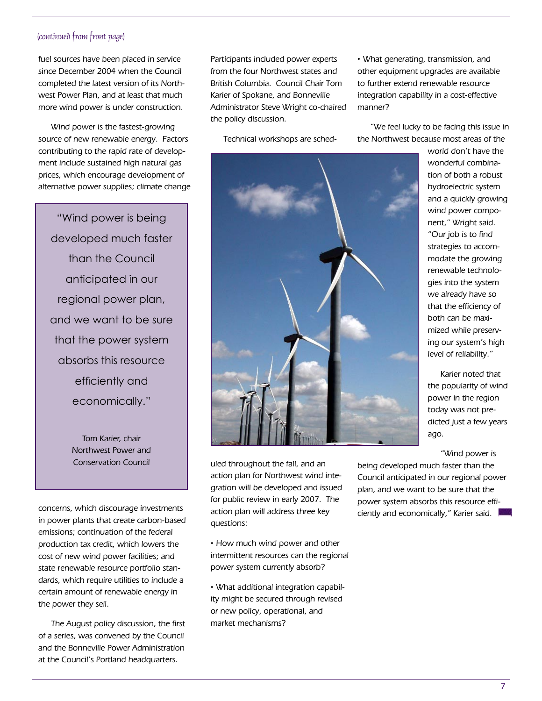#### (continued from front page)

fuel sources have been placed in service since December 2004 when the Council completed the latest version of its Northwest Power Plan, and at least that much more wind power is under construction.

Wind power is the fastest-growing source of new renewable energy. Factors contributing to the rapid rate of development include sustained high natural gas prices, which encourage development of alternative power supplies; climate change

"Wind power is being developed much faster than the Council anticipated in our regional power plan, and we want to be sure that the power system absorbs this resource efficiently and economically."

> Tom Karier, chair Northwest Power and Conservation Council

concerns, which discourage investments in power plants that create carbon-based emissions; continuation of the federal production tax credit, which lowers the cost of new wind power facilities; and state renewable resource portfolio standards, which require utilities to include a certain amount of renewable energy in the power they sell.

The August policy discussion, the first of a series, was convened by the Council and the Bonneville Power Administration at the Council's Portland headquarters.

Participants included power experts from the four Northwest states and British Columbia. Council Chair Tom Karier of Spokane, and Bonneville Administrator Steve Wright co-chaired the policy discussion.

Technical workshops are sched-

· What generating, transmission, and other equipment upgrades are available to further extend renewable resource integration capability in a cost-effective manner?

"We feel lucky to be facing this issue in the Northwest because most areas of the



world don't have the wonderful combination of both a robust hydroelectric system and a quickly growing wind power component," Wright said. "Our job is to find strategies to accommodate the growing renewable technologies into the system we already have so that the efficiency of both can be maximized while preserving our system's high level of reliability."

Karier noted that the popularity of wind power in the region today was not predicted just a few years ago.

"Wind power is

uled throughout the fall, and an action plan for Northwest wind integration will be developed and issued for public review in early 2007. The action plan will address three key questions:

· How much wind power and other intermittent resources can the regional power system currently absorb?

· What additional integration capability might be secured through revised or new policy, operational, and market mechanisms?

being developed much faster than the Council anticipated in our regional power plan, and we want to be sure that the power system absorbs this resource efficiently and economically," Karier said.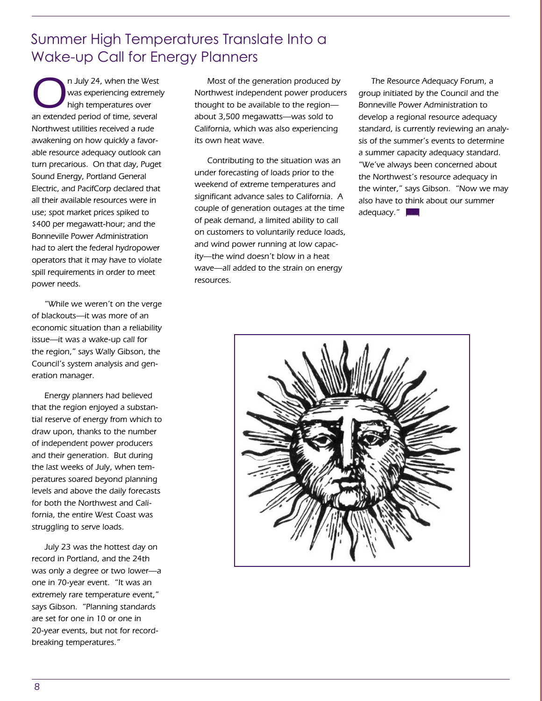## Summer High Temperatures Translate Into a Wake-up Call for Energy Planners

On July 24, when the West<br>
was experiencing extreme!<br>
high temperatures over was experiencing extremely high temperatures over an extended period of time, several Northwest utilities received a rude awakening on how quickly a favorable resource adequacy outlook can turn precarious. On that day, Puget Sound Energy, Portland General Electric, and PacifCorp declared that all their available resources were in use; spot market prices spiked to \$400 per megawatt-hour; and the Bonneville Power Administration had to alert the federal hydropower operators that it may have to violate spill requirements in order to meet power needs.

"While we weren't on the verge of blackouts—it was more of an economic situation than a reliability issue—it was a wake-up call for the region," says Wally Gibson, the Council's system analysis and generation manager.

Energy planners had believed that the region enjoyed a substantial reserve of energy from which to draw upon, thanks to the number of independent power producers and their generation. But during the last weeks of July, when temperatures soared beyond planning levels and above the daily forecasts for both the Northwest and California, the entire West Coast was struggling to serve loads.

July 23 was the hottest day on record in Portland, and the 24th was only a degree or two lower—a one in 70-year event. "It was an extremely rare temperature event," says Gibson. "Planning standards are set for one in 10 or one in 20-year events, but not for recordbreaking temperatures."

Most of the generation produced by Northwest independent power producers thought to be available to the region about 3,500 megawatts—was sold to California, which was also experiencing its own heat wave.

Contributing to the situation was an under forecasting of loads prior to the weekend of extreme temperatures and significant advance sales to California. A couple of generation outages at the time of peak demand, a limited ability to call on customers to voluntarily reduce loads, and wind power running at low capacity—the wind doesn't blow in a heat wave—all added to the strain on energy resources.

The Resource Adequacy Forum, a group initiated by the Council and the Bonneville Power Administration to develop a regional resource adequacy standard, is currently reviewing an analysis of the summer's events to determine a summer capacity adequacy standard. "We've always been concerned about the Northwest's resource adequacy in the winter," says Gibson. "Now we may also have to think about our summer adequacy."

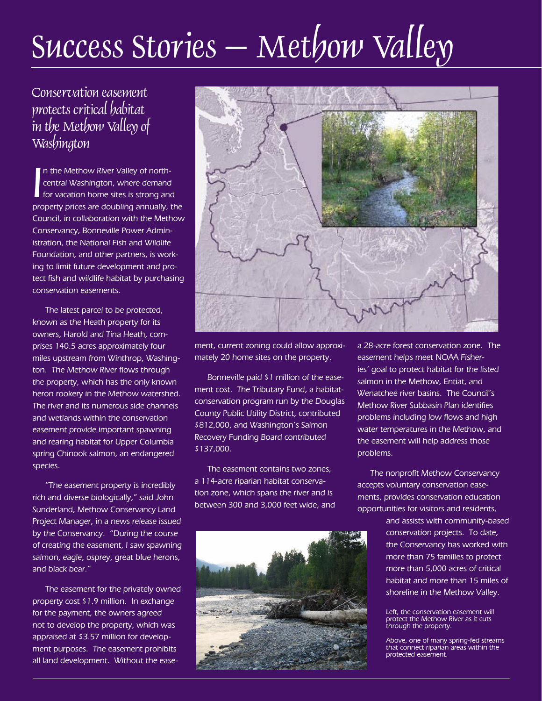# $Success$  Stories – Methow Valley

## Conservation easement protects critical habitat in the Methow Valley of Washington

I In the Methow River Valley of northcentral Washington, where demand for vacation home sites is strong and property prices are doubling annually, the Council, in collaboration with the Methow Conservancy, Bonneville Power Administration, the National Fish and Wildlife Foundation, and other partners, is working to limit future development and protect fish and wildlife habitat by purchasing conservation easements.

The latest parcel to be protected, known as the Heath property for its owners, Harold and Tina Heath, comprises 140.5 acres approximately four miles upstream from Winthrop, Washington. The Methow River flows through the property, which has the only known heron rookery in the Methow watershed. The river and its numerous side channels and wetlands within the conservation easement provide important spawning and rearing habitat for Upper Columbia spring Chinook salmon, an endangered species.

"The easement property is incredibly rich and diverse biologically," said John Sunderland, Methow Conservancy Land Project Manager, in a news release issued by the Conservancy. "During the course of creating the easement, I saw spawning salmon, eagle, osprey, great blue herons, and black bear."

The easement for the privately owned property cost \$1.9 million. In exchange for the payment, the owners agreed not to develop the property, which was appraised at \$3.57 million for development purposes. The easement prohibits all land development. Without the ease-



ment, current zoning could allow approximately 20 home sites on the property.

Bonneville paid \$1 million of the easement cost. The Tributary Fund, a habitatconservation program run by the Douglas County Public Utility District, contributed \$812,000, and Washington's Salmon Recovery Funding Board contributed \$137,000.

The easement contains two zones, a 114-acre riparian habitat conservation zone, which spans the river and is between 300 and 3,000 feet wide, and



a 28-acre forest conservation zone. The easement helps meet NOAA Fisheries' goal to protect habitat for the listed salmon in the Methow, Entiat, and Wenatchee river basins. The Council's Methow River Subbasin Plan identifies problems including low flows and high water temperatures in the Methow, and the easement will help address those problems.

The nonprofit Methow Conservancy accepts voluntary conservation easements, provides conservation education opportunities for visitors and residents,

> and assists with community-based conservation projects. To date, the Conservancy has worked with more than 75 families to protect more than 5,000 acres of critical habitat and more than 15 miles of shoreline in the Methow Valley.

Left, the conservation easement will protect the Methow River as it cuts through the property.

Above, one of many spring-fed streams that connect riparian areas within the protected easement.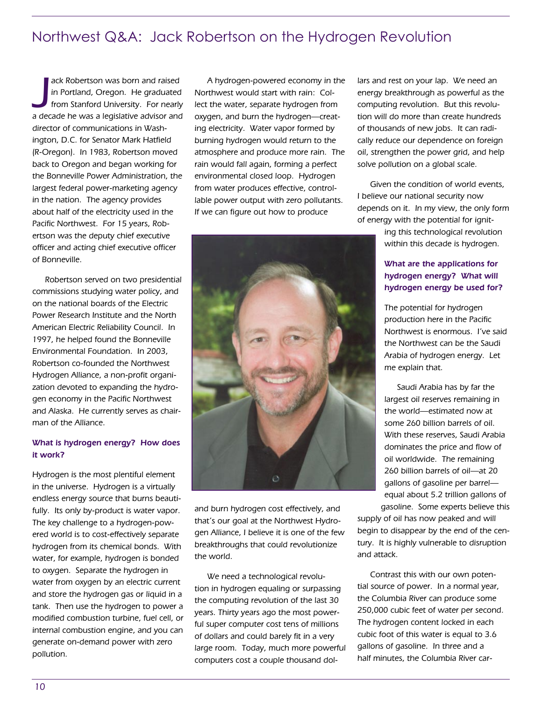## Northwest Q&A: Jack Robertson on the Hydrogen Revolution

ack Robertson was born and raised<br>in Portland, Oregon. He graduated<br>from Stanford University. For nearly<br>a decade he was a legislative advisor and ack Robertson was born and raised in Portland, Oregon. He graduated from Stanford University. For nearly director of communications in Washington, D.C. for Senator Mark Hatfield (R-Oregon). In 1983, Robertson moved back to Oregon and began working for the Bonneville Power Administration, the largest federal power-marketing agency in the nation. The agency provides about half of the electricity used in the Pacific Northwest. For 15 years, Robertson was the deputy chief executive officer and acting chief executive officer of Bonneville.

Robertson served on two presidential commissions studying water policy, and on the national boards of the Electric Power Research Institute and the North American Electric Reliability Council. In 1997, he helped found the Bonneville Environmental Foundation. In 2003, Robertson co-founded the Northwest Hydrogen Alliance, a non-profit organization devoted to expanding the hydrogen economy in the Pacific Northwest and Alaska. He currently serves as chairman of the Alliance.

#### What is hydrogen energy? How does it work?

Hydrogen is the most plentiful element in the universe. Hydrogen is a virtually endless energy source that burns beautifully. Its only by-product is water vapor. The key challenge to a hydrogen-powered world is to cost-effectively separate hydrogen from its chemical bonds. With water, for example, hydrogen is bonded to oxygen. Separate the hydrogen in water from oxygen by an electric current and store the hydrogen gas or liquid in a tank. Then use the hydrogen to power a modified combustion turbine, fuel cell, or internal combustion engine, and you can generate on-demand power with zero pollution.

A hydrogen-powered economy in the Northwest would start with rain: Collect the water, separate hydrogen from oxygen, and burn the hydrogen—creating electricity. Water vapor formed by burning hydrogen would return to the atmosphere and produce more rain. The rain would fall again, forming a perfect environmental closed loop. Hydrogen from water produces effective, controllable power output with zero pollutants. If we can figure out how to produce



and burn hydrogen cost effectively, and that's our goal at the Northwest Hydrogen Alliance, I believe it is one of the few breakthroughs that could revolutionize the world.

We need a technological revolution in hydrogen equaling or surpassing the computing revolution of the last 30 years. Thirty years ago the most powerful super computer cost tens of millions of dollars and could barely fit in a very large room. Today, much more powerful computers cost a couple thousand dollars and rest on your lap. We need an energy breakthrough as powerful as the computing revolution. But this revolution will do more than create hundreds of thousands of new jobs. It can radically reduce our dependence on foreign oil, strengthen the power grid, and help solve pollution on a global scale.

Given the condition of world events, I believe our national security now depends on it. In my view, the only form of energy with the potential for ignit-

> ing this technological revolution within this decade is hydrogen.

#### What are the applications for hydrogen energy? What will hydrogen energy be used for?

The potential for hydrogen production here in the Pacific Northwest is enormous. I've said the Northwest can be the Saudi Arabia of hydrogen energy. Let me explain that.

Saudi Arabia has by far the largest oil reserves remaining in the world—estimated now at some 260 billion barrels of oil. With these reserves, Saudi Arabia dominates the price and flow of oil worldwide. The remaining 260 billion barrels of oil—at 20 gallons of gasoline per barrel equal about 5.2 trillion gallons of gasoline. Some experts believe this

supply of oil has now peaked and will begin to disappear by the end of the century. It is highly vulnerable to disruption and attack.

Contrast this with our own potential source of power. In a normal year, the Columbia River can produce some 250,000 cubic feet of water per second. The hydrogen content locked in each cubic foot of this water is equal to 3.6 gallons of gasoline. In three and a half minutes, the Columbia River car-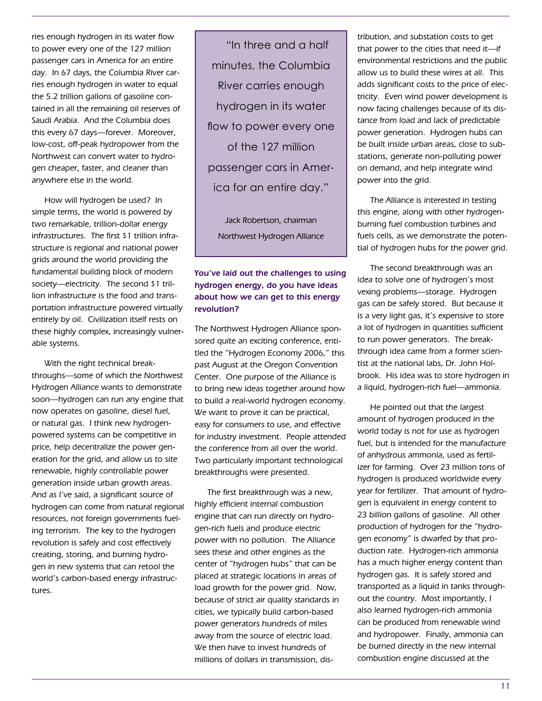ries enough hydrogen in its water flow to power every one of the 127 million passenger cars in America for an entire day. In 67 days, the Columbia River carries enough hydrogen in water to equal the 5.2 trillion gallons of gasoline contained in all the remaining oil reserves of Saudi Arabia. And the Columbia does this every 67 days—forever. Moreover, low-cost, off-peak hydropower from the Northwest can convert water to hydrogen cheaper, faster, and cleaner than anywhere else in the world.

How will hydrogen be used? In simple terms, the world is powered by two remarkable, trillion-dollar energy infrastructures. The first \$1 trillion infrastructure is regional and national power grids around the world providing the fundamental building block of modern society—electricity. The second \$1 trillion infrastructure is the food and transportation infrastructure powered virtually entirely by oil. Civilization itself rests on these highly complex, increasingly vulnerable systems.

With the right technical breakthroughs—some of which the Northwest Hydrogen Alliance wants to demonstrate soon—hydrogen can run any engine that now operates on gasoline, diesel fuel, or natural gas. I think new hydrogenpowered systems can be competitive in price, help decentralize the power generation for the grid, and allow us to site renewable, highly controllable power generation inside urban growth areas. And as I've said, a significant source of hydrogen can come from natural regional resources, not foreign governments fueling terrorism. The key to the hydrogen revolution is safely and cost effectively creating, storing, and burning hydrogen in new systems that can retool the world's carbon-based energy infrastructures.

"In three and a half minutes, the Columbia River carries enough hydrogen in its water flow to power every one of the 127 million passenger cars in America for an entire day."

Jack Robertson, chairman Northwest Hydrogen Alliance

#### You've laid out the challenges to using hydrogen energy, do you have ideas about how we can get to this energy revolution?

The Northwest Hydrogen Alliance sponsored quite an exciting conference, entitled the "Hydrogen Economy 2006," this past August at the Oregon Convention Center. One purpose of the Alliance is to bring new ideas together around how to build a real-world hydrogen economy. We want to prove it can be practical, easy for consumers to use, and effective for industry investment. People attended the conference from all over the world. Two particularly important technological breakthroughs were presented.

The first breakthrough was a new, highly efficient internal combustion engine that can run directly on hydrogen-rich fuels and produce electric power with no pollution. The Alliance sees these and other engines as the center of "hydrogen hubs" that can be placed at strategic locations in areas of load growth for the power grid. Now, because of strict air quality standards in cities, we typically build carbon-based power generators hundreds of miles away from the source of electric load. We then have to invest hundreds of millions of dollars in transmission, distribution, and substation costs to get that power to the cities that need it—if environmental restrictions and the public allow us to build these wires at all. This adds significant costs to the price of electricity. Even wind power development is now facing challenges because of its distance from load and lack of predictable power generation. Hydrogen hubs can be built inside urban areas, close to substations, generate non-polluting power on demand, and help integrate wind power into the grid.

The Alliance is interested in testing this engine, along with other hydrogenburning fuel combustion turbines and fuels cells, as we demonstrate the potential of hydrogen hubs for the power grid.

The second breakthrough was an idea to solve one of hydrogen's most vexing problems—storage. Hydrogen gas can be safely stored. But because it is a very light gas, it's expensive to store a lot of hydrogen in quantities sufficient to run power generators. The breakthrough idea came from a former scientist at the national labs, Dr. John Holbrook. His idea was to store hydrogen in a liquid, hydrogen-rich fuel—ammonia.

He pointed out that the largest amount of hydrogen produced in the world today is not for use as hydrogen fuel, but is intended for the manufacture of anhydrous ammonia, used as fertilizer for farming. Over 23 million tons of hydrogen is produced worldwide every year for fertilizer. That amount of hydrogen is equivalent in energy content to 23 billion gallons of gasoline. All other production of hydrogen for the "hydrogen economy" is dwarfed by that production rate. Hydrogen-rich ammonia has a much higher energy content than hydrogen gas. It is safely stored and transported as a liquid in tanks throughout the country. Most importantly, I also learned hydrogen-rich ammonia can be produced from renewable wind and hydropower. Finally, ammonia can be burned directly in the new internal combustion engine discussed at the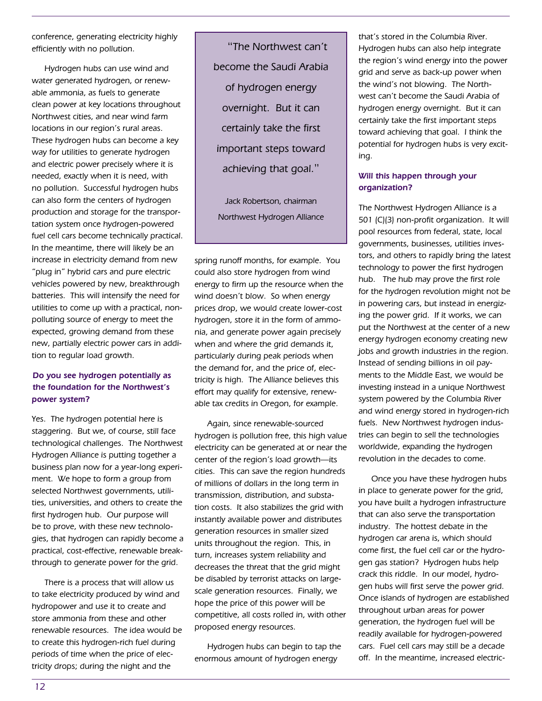conference, generating electricity highly efficiently with no pollution.

Hydrogen hubs can use wind and water generated hydrogen, or renewable ammonia, as fuels to generate clean power at key locations throughout Northwest cities, and near wind farm locations in our region's rural areas. These hydrogen hubs can become a key way for utilities to generate hydrogen and electric power precisely where it is needed, exactly when it is need, with no pollution. Successful hydrogen hubs can also form the centers of hydrogen production and storage for the transportation system once hydrogen-powered fuel cell cars become technically practical. In the meantime, there will likely be an increase in electricity demand from new "plug in" hybrid cars and pure electric vehicles powered by new, breakthrough batteries. This will intensify the need for utilities to come up with a practical, nonpolluting source of energy to meet the expected, growing demand from these new, partially electric power cars in addition to regular load growth.

#### Do you see hydrogen potentially as the foundation for the Northwest's power system?

Yes. The hydrogen potential here is staggering. But we, of course, still face technological challenges. The Northwest Hydrogen Alliance is putting together a business plan now for a year-long experiment. We hope to form a group from selected Northwest governments, utilities, universities, and others to create the first hydrogen hub. Our purpose will be to prove, with these new technologies, that hydrogen can rapidly become a practical, cost-effective, renewable breakthrough to generate power for the grid.

There is a process that will allow us to take electricity produced by wind and hydropower and use it to create and store ammonia from these and other renewable resources. The idea would be to create this hydrogen-rich fuel during periods of time when the price of electricity drops; during the night and the

"The Northwest can't become the Saudi Arabia of hydrogen energy overnight. But it can certainly take the first important steps toward achieving that goal."

Jack Robertson, chairman Northwest Hydrogen Alliance

spring runoff months, for example. You could also store hydrogen from wind energy to firm up the resource when the wind doesn't blow. So when energy prices drop, we would create lower-cost hydrogen, store it in the form of ammonia, and generate power again precisely when and where the grid demands it, particularly during peak periods when the demand for, and the price of, electricity is high. The Alliance believes this effort may qualify for extensive, renewable tax credits in Oregon, for example.

Again, since renewable-sourced hydrogen is pollution free, this high value electricity can be generated at or near the center of the region's load growth—its cities. This can save the region hundreds of millions of dollars in the long term in transmission, distribution, and substation costs. It also stabilizes the grid with instantly available power and distributes generation resources in smaller sized units throughout the region. This, in turn, increases system reliability and decreases the threat that the grid might be disabled by terrorist attacks on largescale generation resources. Finally, we hope the price of this power will be competitive, all costs rolled in, with other proposed energy resources.

Hydrogen hubs can begin to tap the enormous amount of hydrogen energy

that's stored in the Columbia River. Hydrogen hubs can also help integrate the region's wind energy into the power grid and serve as back-up power when the wind's not blowing. The Northwest can't become the Saudi Arabia of hydrogen energy overnight. But it can certainly take the first important steps toward achieving that goal. I think the potential for hydrogen hubs is very exciting.

#### Will this happen through your organization?

The Northwest Hydrogen Alliance is a 501 (C)(3) non-profit organization. It will pool resources from federal, state, local governments, businesses, utilities investors, and others to rapidly bring the latest technology to power the first hydrogen hub. The hub may prove the first role for the hydrogen revolution might not be in powering cars, but instead in energizing the power grid. If it works, we can put the Northwest at the center of a new energy hydrogen economy creating new jobs and growth industries in the region. Instead of sending billions in oil payments to the Middle East, we would be investing instead in a unique Northwest system powered by the Columbia River and wind energy stored in hydrogen-rich fuels. New Northwest hydrogen industries can begin to sell the technologies worldwide, expanding the hydrogen revolution in the decades to come.

Once you have these hydrogen hubs in place to generate power for the grid, you have built a hydrogen infrastructure that can also serve the transportation industry. The hottest debate in the hydrogen car arena is, which should come first, the fuel cell car or the hydrogen gas station? Hydrogen hubs help crack this riddle. In our model, hydrogen hubs will first serve the power grid. Once islands of hydrogen are established throughout urban areas for power generation, the hydrogen fuel will be readily available for hydrogen-powered cars. Fuel cell cars may still be a decade off. In the meantime, increased electric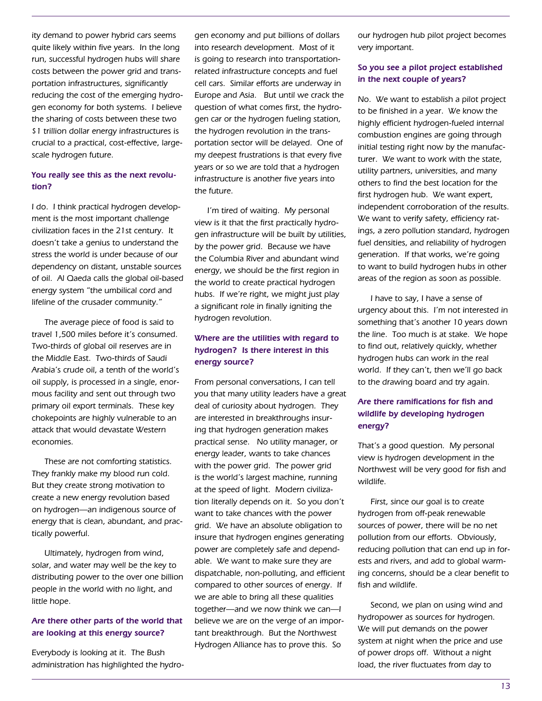ity demand to power hybrid cars seems quite likely within five years. In the long run, successful hydrogen hubs will share costs between the power grid and transportation infrastructures, significantly reducing the cost of the emerging hydrogen economy for both systems. I believe the sharing of costs between these two \$1 trillion dollar energy infrastructures is crucial to a practical, cost-effective, largescale hydrogen future.

#### You really see this as the next revolution?

I do. I think practical hydrogen development is the most important challenge civilization faces in the 21st century. It doesn't take a genius to understand the stress the world is under because of our dependency on distant, unstable sources of oil. Al Qaeda calls the global oil-based energy system "the umbilical cord and lifeline of the crusader community."

The average piece of food is said to travel 1,500 miles before it's consumed. Two-thirds of global oil reserves are in the Middle East. Two-thirds of Saudi Arabia's crude oil, a tenth of the world's oil supply, is processed in a single, enormous facility and sent out through two primary oil export terminals. These key chokepoints are highly vulnerable to an attack that would devastate Western economies.

These are not comforting statistics. They frankly make my blood run cold. But they create strong motivation to create a new energy revolution based on hydrogen—an indigenous source of energy that is clean, abundant, and practically powerful.

Ultimately, hydrogen from wind, solar, and water may well be the key to distributing power to the over one billion people in the world with no light, and little hope.

#### Are there other parts of the world that are looking at this energy source?

Everybody is looking at it. The Bush administration has highlighted the hydrogen economy and put billions of dollars into research development. Most of it is going to research into transportationrelated infrastructure concepts and fuel cell cars. Similar efforts are underway in Europe and Asia. But until we crack the question of what comes first, the hydrogen car or the hydrogen fueling station, the hydrogen revolution in the transportation sector will be delayed. One of my deepest frustrations is that every five years or so we are told that a hydrogen infrastructure is another five years into the future.

I'm tired of waiting. My personal view is it that the first practically hydrogen infrastructure will be built by utilities, by the power grid. Because we have the Columbia River and abundant wind energy, we should be the first region in the world to create practical hydrogen hubs. If we're right, we might just play a significant role in finally igniting the hydrogen revolution.

#### Where are the utilities with regard to hydrogen? Is there interest in this energy source?

From personal conversations, I can tell you that many utility leaders have a great deal of curiosity about hydrogen. They are interested in breakthroughs insuring that hydrogen generation makes practical sense. No utility manager, or energy leader, wants to take chances with the power grid. The power grid is the world's largest machine, running at the speed of light. Modern civilization literally depends on it. So you don't want to take chances with the power grid. We have an absolute obligation to insure that hydrogen engines generating power are completely safe and dependable. We want to make sure they are dispatchable, non-polluting, and efficient compared to other sources of energy. If we are able to bring all these qualities together—and we now think we can—I believe we are on the verge of an important breakthrough. But the Northwest Hydrogen Alliance has to prove this. So

our hydrogen hub pilot project becomes very important.

#### So you see a pilot project established in the next couple of years?

No. We want to establish a pilot project to be finished in a year. We know the highly efficient hydrogen-fueled internal combustion engines are going through initial testing right now by the manufacturer. We want to work with the state, utility partners, universities, and many others to find the best location for the first hydrogen hub. We want expert, independent corroboration of the results. We want to verify safety, efficiency ratings, a zero pollution standard, hydrogen fuel densities, and reliability of hydrogen generation. If that works, we're going to want to build hydrogen hubs in other areas of the region as soon as possible.

I have to say, I have a sense of urgency about this. I'm not interested in something that's another 10 years down the line. Too much is at stake. We hope to find out, relatively quickly, whether hydrogen hubs can work in the real world. If they can't, then we'll go back to the drawing board and try again.

#### Are there ramifications for fish and wildlife by developing hydrogen energy?

That's a good question. My personal view is hydrogen development in the Northwest will be very good for fish and wildlife.

First, since our goal is to create hydrogen from off-peak renewable sources of power, there will be no net pollution from our efforts. Obviously, reducing pollution that can end up in forests and rivers, and add to global warming concerns, should be a clear benefit to fish and wildlife.

Second, we plan on using wind and hydropower as sources for hydrogen. We will put demands on the power system at night when the price and use of power drops off. Without a night load, the river fluctuates from day to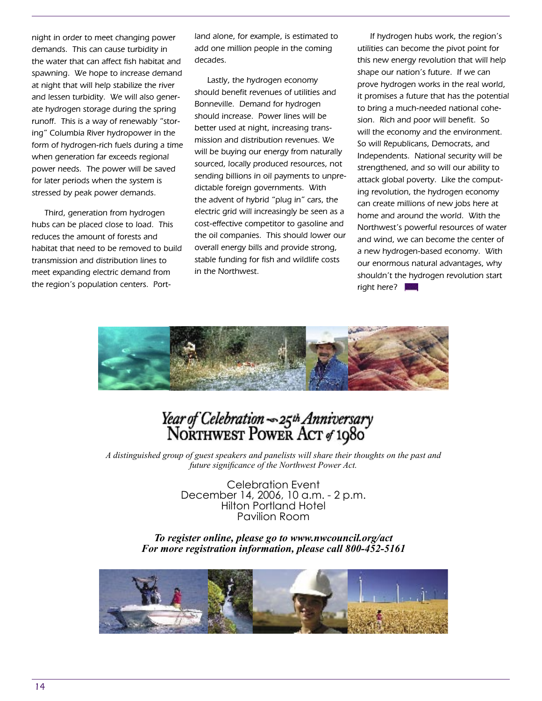night in order to meet changing power demands. This can cause turbidity in the water that can affect fish habitat and spawning. We hope to increase demand at night that will help stabilize the river and lessen turbidity. We will also generate hydrogen storage during the spring runoff. This is a way of renewably "storing" Columbia River hydropower in the form of hydrogen-rich fuels during a time when generation far exceeds regional power needs. The power will be saved for later periods when the system is stressed by peak power demands.

Third, generation from hydrogen hubs can be placed close to load. This reduces the amount of forests and habitat that need to be removed to build transmission and distribution lines to meet expanding electric demand from the region's population centers. Portland alone, for example, is estimated to add one million people in the coming decades.

Lastly, the hydrogen economy should benefit revenues of utilities and Bonneville. Demand for hydrogen should increase. Power lines will be better used at night, increasing transmission and distribution revenues. We will be buying our energy from naturally sourced, locally produced resources, not sending billions in oil payments to unpredictable foreign governments. With the advent of hybrid "plug in" cars, the electric grid will increasingly be seen as a cost-effective competitor to gasoline and the oil companies. This should lower our overall energy bills and provide strong, stable funding for fish and wildlife costs in the Northwest.

If hydrogen hubs work, the region's utilities can become the pivot point for this new energy revolution that will help shape our nation's future. If we can prove hydrogen works in the real world, it promises a future that has the potential to bring a much-needed national cohesion. Rich and poor will benefit. So will the economy and the environment. So will Republicans, Democrats, and Independents. National security will be strengthened, and so will our ability to attack global poverty. Like the computing revolution, the hydrogen economy can create millions of new jobs here at home and around the world. With the Northwest's powerful resources of water and wind, we can become the center of a new hydrogen-based economy. With our enormous natural advantages, why shouldn't the hydrogen revolution start right here?



# Year of Celebration - 25th Anniversary<br>NORTHWEST POWER ACT of 1980

*A distinguished group of guest speakers and panelists will share their thoughts on the past and future significance of the Northwest Power Act.*

Celebration Event December 14, 2006, 10 a.m. - 2 p.m. Hilton Portland Hotel Pavilion Room

*To register online, please go to www.nwcouncil.org/act For more registration information, please call 800-452-5161*

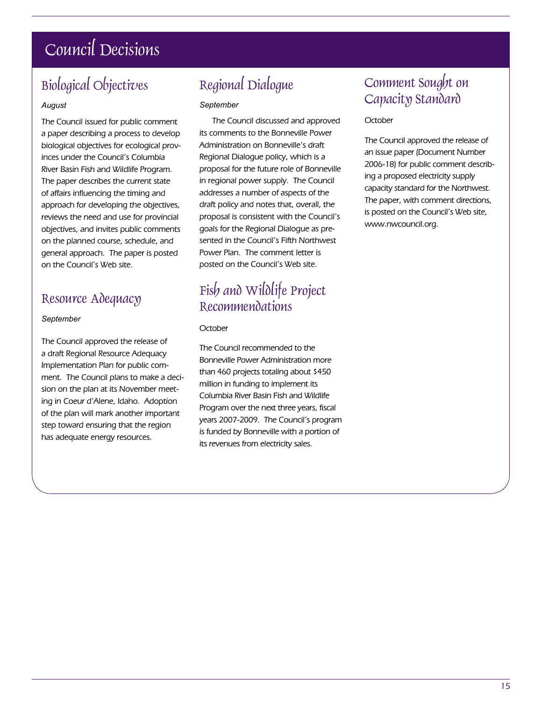# Council Decisions

## Biological Objectives

#### *August*

The Council issued for public comment a paper describing a process to develop biological objectives for ecological provinces under the Council's Columbia River Basin Fish and Wildlife Program. The paper describes the current state of affairs influencing the timing and approach for developing the objectives, reviews the need and use for provincial objectives, and invites public comments on the planned course, schedule, and general approach. The paper is posted on the Council's Web site.

### Resource Adequacy

#### *September*

The Council approved the release of a draft Regional Resource Adequacy Implementation Plan for public comment. The Council plans to make a decision on the plan at its November meeting in Coeur d'Alene, Idaho. Adoption of the plan will mark another important step toward ensuring that the region has adequate energy resources.

## Regional Dialogue

#### *September*

The Council discussed and approved its comments to the Bonneville Power Administration on Bonneville's draft Regional Dialogue policy, which is a proposal for the future role of Bonneville in regional power supply. The Council addresses a number of aspects of the draft policy and notes that, overall, the proposal is consistent with the Council's goals for the Regional Dialogue as presented in the Council's Fifth Northwest Power Plan. The comment letter is posted on the Council's Web site.

## Fish and Wildlife Project Recommendations

#### **October**

The Council recommended to the Bonneville Power Administration more than 460 projects totaling about \$450 million in funding to implement its Columbia River Basin Fish and Wildlife Program over the next three years, fiscal years 2007-2009. The Council's program is funded by Bonneville with a portion of its revenues from electricity sales.

## Comment Sought on Capacity Standard

#### **October**

The Council approved the release of an issue paper (Document Number 2006-18) for public comment describing a proposed electricity supply capacity standard for the Northwest. The paper, with comment directions, is posted on the Council's Web site, www.nwcouncil.org.